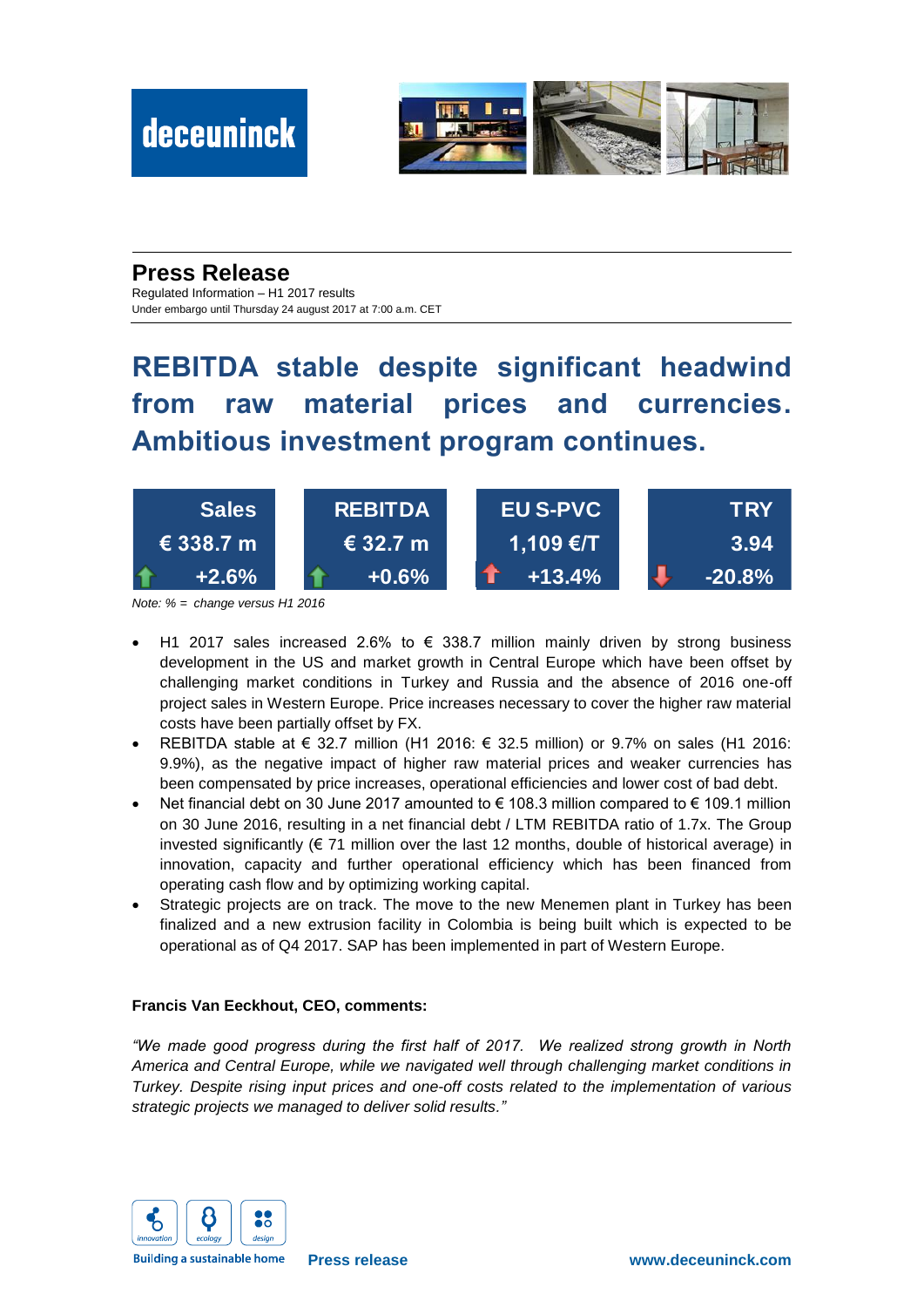

#### **Press Release**

Regulated Information – H1 2017 results Under embargo until Thursday 24 august 2017 at 7:00 a.m. CET

### **REBITDA stable despite significant headwind from raw material prices and currencies. Ambitious investment program continues.**

| Sales     | <b>REBITDA</b> | <b>EU S-PVC</b> | TRY      |
|-----------|----------------|-----------------|----------|
| € 338.7 m | € 32.7 m       | 1,109 €/T       | 3.94     |
| $+2.6\%$  | $+0.6%$        | $+13.4%$        | $-20.8%$ |

*Note: % = change versus H1 2016*

- H1 2017 sales increased 2.6% to  $\epsilon$  338.7 million mainly driven by strong business development in the US and market growth in Central Europe which have been offset by challenging market conditions in Turkey and Russia and the absence of 2016 one-off project sales in Western Europe. Price increases necessary to cover the higher raw material costs have been partially offset by FX.
- REBITDA stable at € 32.7 million (H1 2016: € 32.5 million) or 9.7% on sales (H1 2016: 9.9%), as the negative impact of higher raw material prices and weaker currencies has been compensated by price increases, operational efficiencies and lower cost of bad debt.
- Net financial debt on 30 June 2017 amounted to € 108.3 million compared to € 109.1 million on 30 June 2016, resulting in a net financial debt / LTM REBITDA ratio of 1.7x. The Group invested significantly ( $\epsilon$  71 million over the last 12 months, double of historical average) in innovation, capacity and further operational efficiency which has been financed from operating cash flow and by optimizing working capital.
- Strategic projects are on track. The move to the new Menemen plant in Turkey has been finalized and a new extrusion facility in Colombia is being built which is expected to be operational as of Q4 2017. SAP has been implemented in part of Western Europe.

#### **Francis Van Eeckhout, CEO, comments:**

*"We made good progress during the first half of 2017. We realized strong growth in North America and Central Europe, while we navigated well through challenging market conditions in Turkey. Despite rising input prices and one-off costs related to the implementation of various strategic projects we managed to deliver solid results."*



**Building a sustainable home**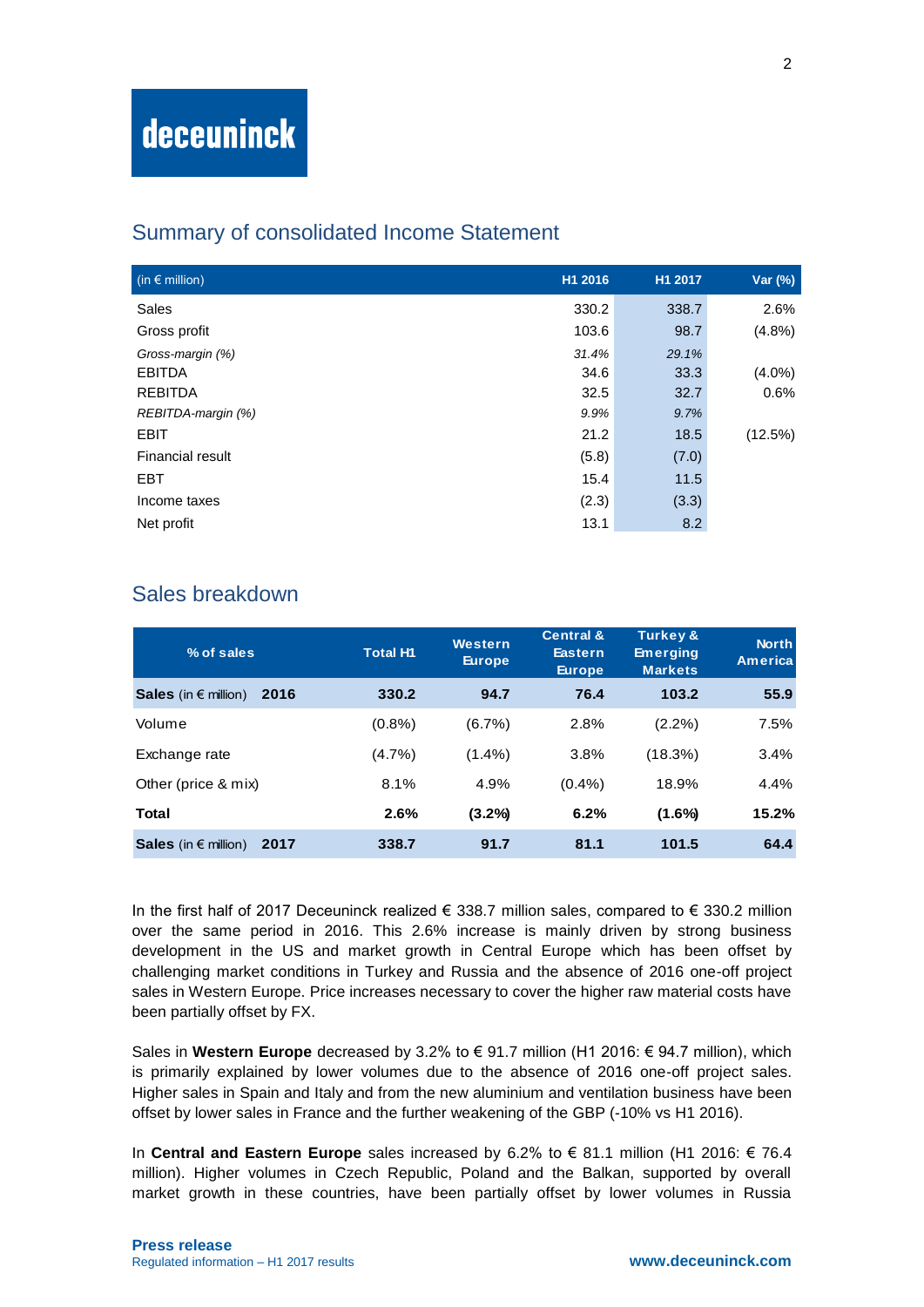#### Summary of consolidated Income Statement

| (in $\epsilon$ million) | H1 2016 | H1 2017 | Var (%)   |
|-------------------------|---------|---------|-----------|
| Sales                   | 330.2   | 338.7   | 2.6%      |
| Gross profit            | 103.6   | 98.7    | (4.8%)    |
| Gross-margin (%)        | 31.4%   | 29.1%   |           |
| <b>EBITDA</b>           | 34.6    | 33.3    | $(4.0\%)$ |
| <b>REBITDA</b>          | 32.5    | 32.7    | 0.6%      |
| REBITDA-margin (%)      | 9.9%    | 9.7%    |           |
| <b>EBIT</b>             | 21.2    | 18.5    | (12.5%)   |
| Financial result        | (5.8)   | (7.0)   |           |
| <b>EBT</b>              | 15.4    | 11.5    |           |
| Income taxes            | (2.3)   | (3.3)   |           |
| Net profit              | 13.1    | 8.2     |           |

### Sales breakdown

| % of sales                            | <b>Total H1</b> | <b>Western</b><br><b>Europe</b> | <b>Central &amp;</b><br><b>Eastern</b><br><b>Europe</b> | <b>Turkey &amp;</b><br><b>Emerging</b><br><b>Markets</b> | <b>North</b><br><b>America</b> |
|---------------------------------------|-----------------|---------------------------------|---------------------------------------------------------|----------------------------------------------------------|--------------------------------|
| Sales (in $\epsilon$ million)<br>2016 | 330.2           | 94.7                            | 76.4                                                    | 103.2                                                    | 55.9                           |
| Volume                                | $(0.8\%)$       | (6.7%)                          | 2.8%                                                    | $(2.2\%)$                                                | 7.5%                           |
| Exchange rate                         | $(4.7\%)$       | $(1.4\%)$                       | 3.8%                                                    | (18.3%)                                                  | 3.4%                           |
| Other (price & mix)                   | 8.1%            | 4.9%                            | $(0.4\%)$                                               | 18.9%                                                    | 4.4%                           |
| <b>Total</b>                          | 2.6%            | $(3.2\%)$                       | 6.2%                                                    | $(1.6\%)$                                                | 15.2%                          |
| Sales (in $\epsilon$ million)<br>2017 | 338.7           | 91.7                            | 81.1                                                    | 101.5                                                    | 64.4                           |

In the first half of 2017 Deceuninck realized € 338.7 million sales, compared to € 330.2 million over the same period in 2016. This 2.6% increase is mainly driven by strong business development in the US and market growth in Central Europe which has been offset by challenging market conditions in Turkey and Russia and the absence of 2016 one-off project sales in Western Europe. Price increases necessary to cover the higher raw material costs have been partially offset by FX.

Sales in **Western Europe** decreased by 3.2% to € 91.7 million (H1 2016: € 94.7 million), which is primarily explained by lower volumes due to the absence of 2016 one-off project sales. Higher sales in Spain and Italy and from the new aluminium and ventilation business have been offset by lower sales in France and the further weakening of the GBP (-10% vs H1 2016).

In **Central and Eastern Europe** sales increased by 6.2% to € 81.1 million (H1 2016: € 76.4 million). Higher volumes in Czech Republic, Poland and the Balkan, supported by overall market growth in these countries, have been partially offset by lower volumes in Russia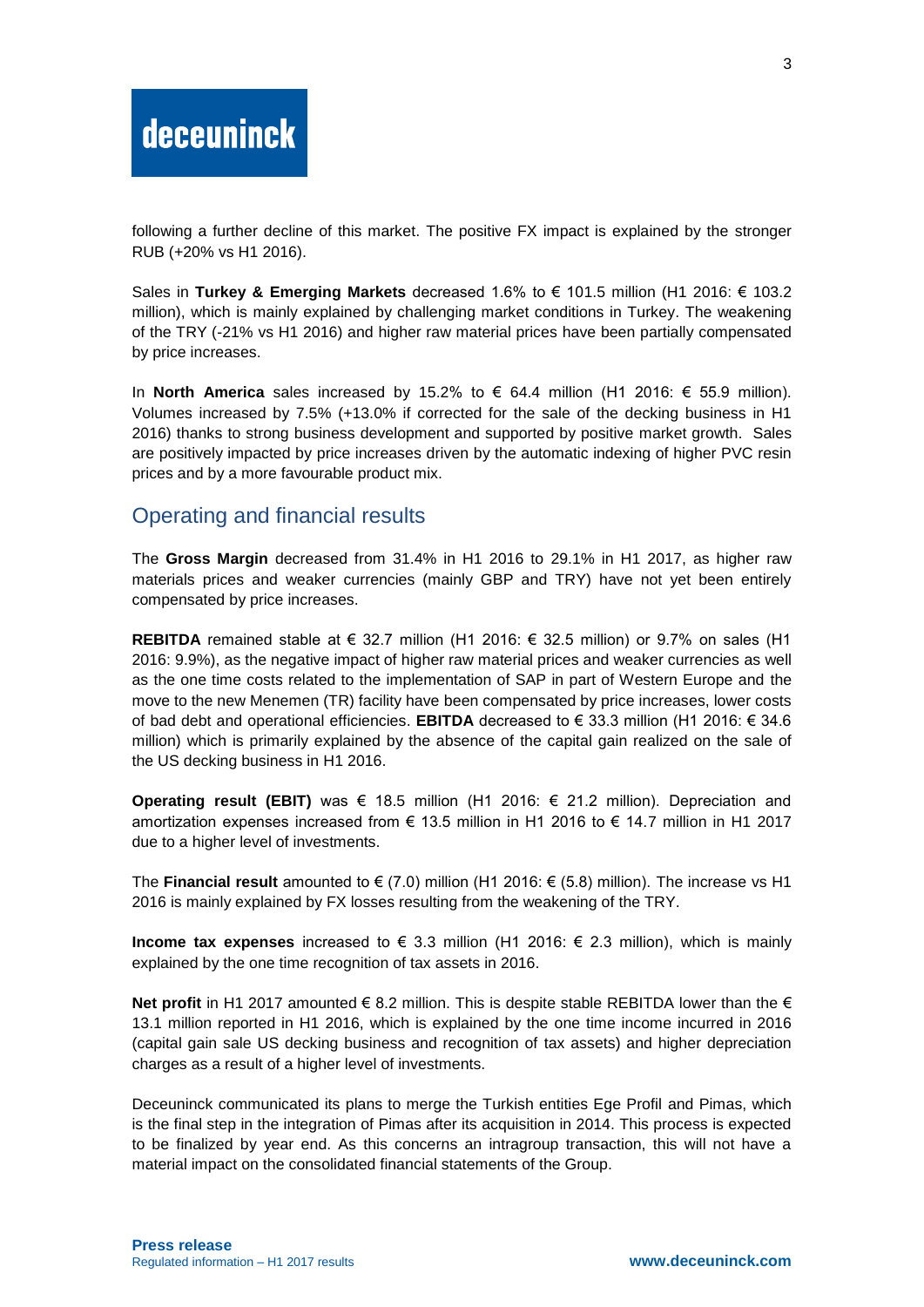following a further decline of this market. The positive FX impact is explained by the stronger RUB (+20% vs H1 2016).

Sales in **Turkey & Emerging Markets** decreased 1.6% to € 101.5 million (H1 2016: € 103.2 million), which is mainly explained by challenging market conditions in Turkey. The weakening of the TRY (-21% vs H1 2016) and higher raw material prices have been partially compensated by price increases.

In **North America** sales increased by 15.2% to € 64.4 million (H1 2016: € 55.9 million). Volumes increased by 7.5% (+13.0% if corrected for the sale of the decking business in H1 2016) thanks to strong business development and supported by positive market growth. Sales are positively impacted by price increases driven by the automatic indexing of higher PVC resin prices and by a more favourable product mix.

#### Operating and financial results

The **Gross Margin** decreased from 31.4% in H1 2016 to 29.1% in H1 2017, as higher raw materials prices and weaker currencies (mainly GBP and TRY) have not yet been entirely compensated by price increases.

**REBITDA** remained stable at € 32.7 million (H1 2016: € 32.5 million) or 9.7% on sales (H1 2016: 9.9%), as the negative impact of higher raw material prices and weaker currencies as well as the one time costs related to the implementation of SAP in part of Western Europe and the move to the new Menemen (TR) facility have been compensated by price increases, lower costs of bad debt and operational efficiencies. **EBITDA** decreased to € 33.3 million (H1 2016: € 34.6 million) which is primarily explained by the absence of the capital gain realized on the sale of the US decking business in H1 2016.

**Operating result (EBIT)** was € 18.5 million (H1 2016:  $∈$  21.2 million). Depreciation and amortization expenses increased from € 13.5 million in H1 2016 to € 14.7 million in H1 2017 due to a higher level of investments.

The **Financial result** amounted to € (7.0) million (H1 2016: € (5.8) million). The increase vs H1 2016 is mainly explained by FX losses resulting from the weakening of the TRY.

**Income tax expenses** increased to  $€ 3.3$  million (H1 2016:  $€ 2.3$  million), which is mainly explained by the one time recognition of tax assets in 2016.

**Net profit** in H1 2017 amounted € 8.2 million. This is despite stable REBITDA lower than the € 13.1 million reported in H1 2016, which is explained by the one time income incurred in 2016 (capital gain sale US decking business and recognition of tax assets) and higher depreciation charges as a result of a higher level of investments.

Deceuninck communicated its plans to merge the Turkish entities Ege Profil and Pimas, which is the final step in the integration of Pimas after its acquisition in 2014. This process is expected to be finalized by year end. As this concerns an intragroup transaction, this will not have a material impact on the consolidated financial statements of the Group.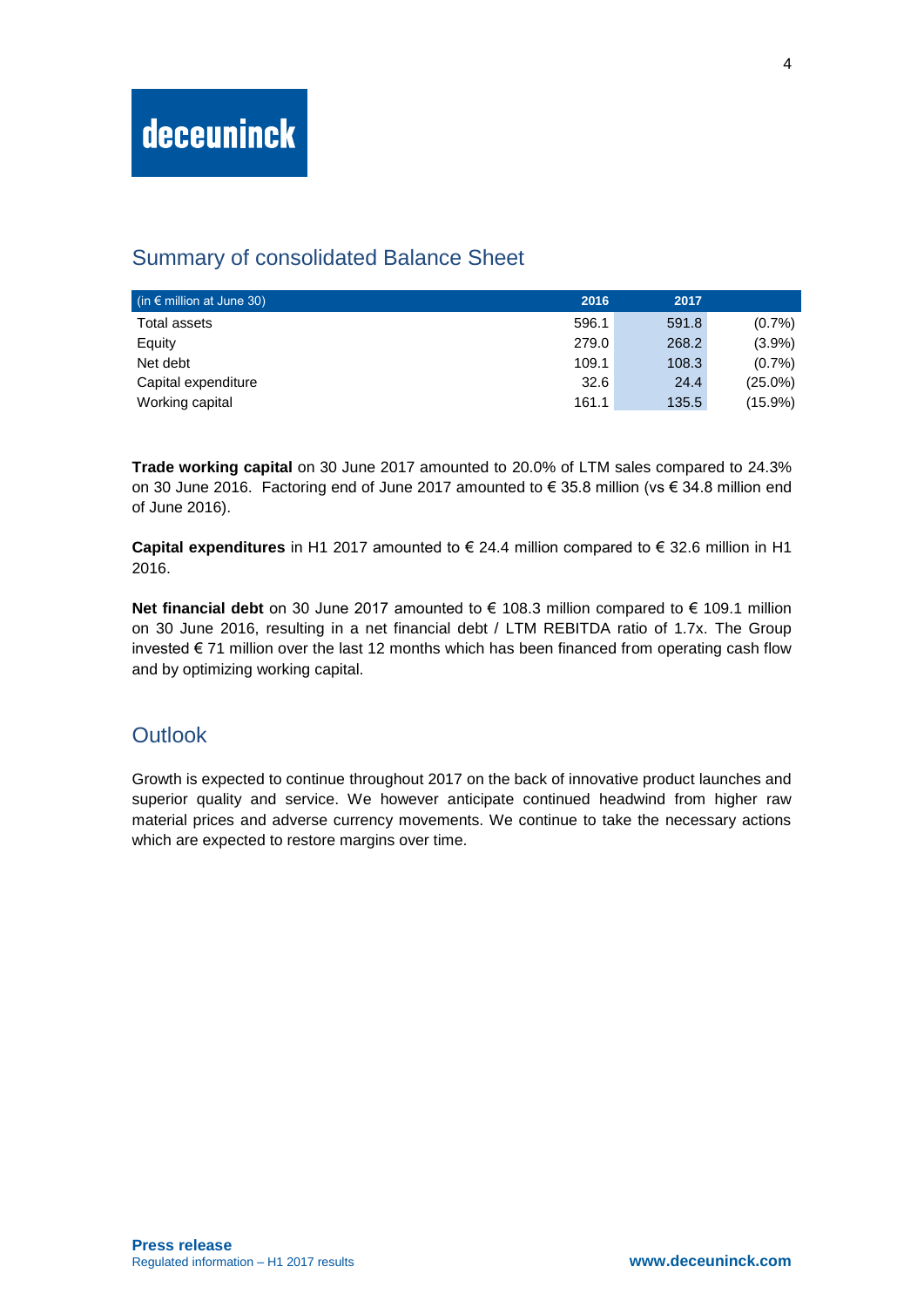### Summary of consolidated Balance Sheet

| (in $\epsilon$ million at June 30) | 2016  | 2017  |            |
|------------------------------------|-------|-------|------------|
| Total assets                       | 596.1 | 591.8 | $(0.7\%)$  |
| Equity                             | 279.0 | 268.2 | $(3.9\%)$  |
| Net debt                           | 109.1 | 108.3 | $(0.7\%)$  |
| Capital expenditure                | 32.6  | 24.4  | $(25.0\%)$ |
| Working capital                    | 161.1 | 135.5 | $(15.9\%)$ |

**Trade working capital** on 30 June 2017 amounted to 20.0% of LTM sales compared to 24.3% on 30 June 2016. Factoring end of June 2017 amounted to € 35.8 million (vs € 34.8 million end of June 2016).

**Capital expenditures** in H1 2017 amounted to € 24.4 million compared to € 32.6 million in H1 2016.

**Net financial debt** on 30 June 2017 amounted to € 108.3 million compared to € 109.1 million on 30 June 2016, resulting in a net financial debt / LTM REBITDA ratio of 1.7x. The Group invested € 71 million over the last 12 months which has been financed from operating cash flow and by optimizing working capital.

#### **Outlook**

Growth is expected to continue throughout 2017 on the back of innovative product launches and superior quality and service. We however anticipate continued headwind from higher raw material prices and adverse currency movements. We continue to take the necessary actions which are expected to restore margins over time.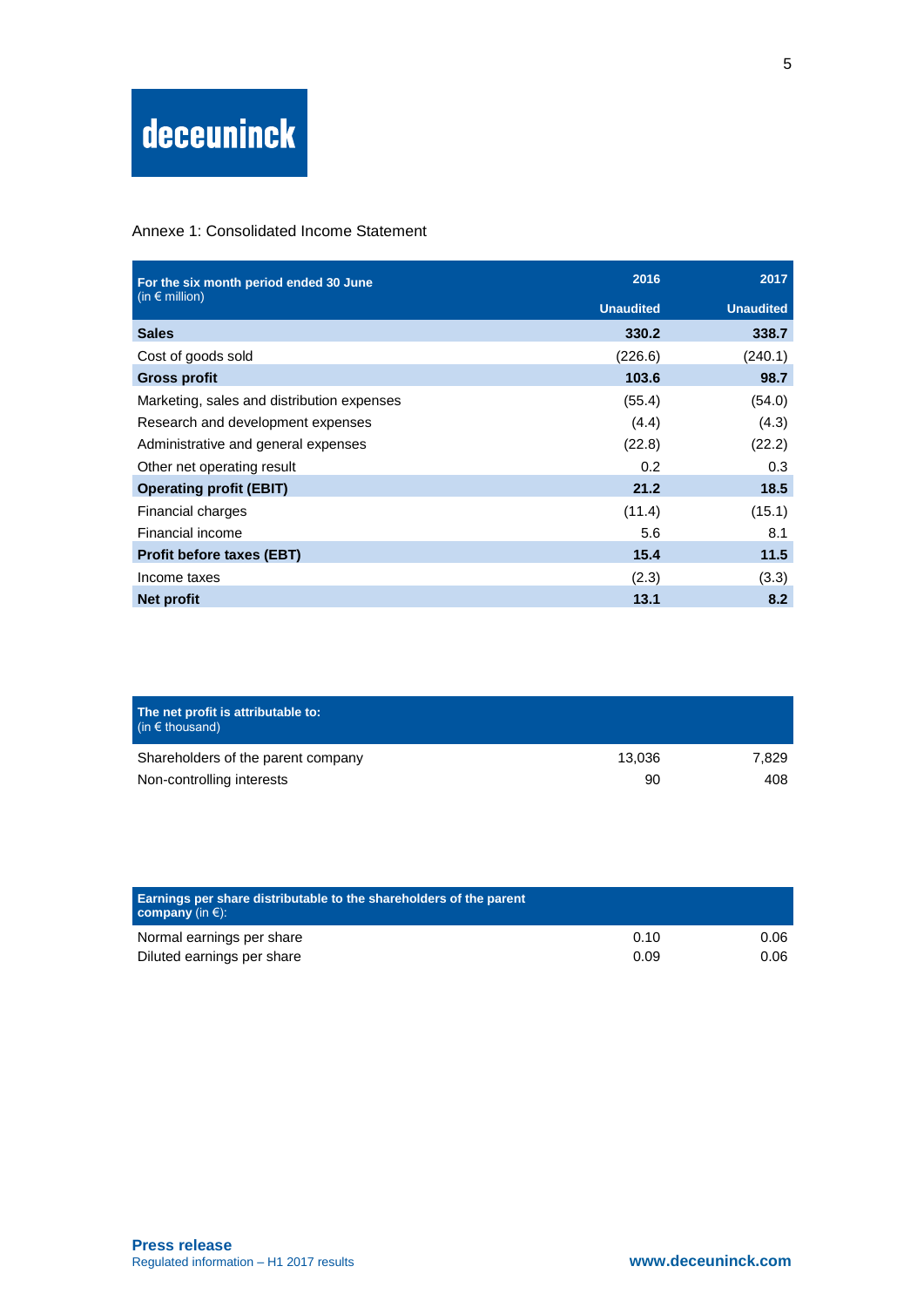Annexe 1: Consolidated Income Statement

| For the six month period ended 30 June     | 2016             | 2017             |
|--------------------------------------------|------------------|------------------|
| (in $\epsilon$ million)                    | <b>Unaudited</b> | <b>Unaudited</b> |
| <b>Sales</b>                               | 330.2            | 338.7            |
| Cost of goods sold                         | (226.6)          | (240.1)          |
| <b>Gross profit</b>                        | 103.6            | 98.7             |
| Marketing, sales and distribution expenses | (55.4)           | (54.0)           |
| Research and development expenses          | (4.4)            | (4.3)            |
| Administrative and general expenses        | (22.8)           | (22.2)           |
| Other net operating result                 | 0.2              | 0.3              |
| <b>Operating profit (EBIT)</b>             | 21.2             | 18.5             |
| Financial charges                          | (11.4)           | (15.1)           |
| Financial income                           | 5.6              | 8.1              |
| <b>Profit before taxes (EBT)</b>           | 15.4             | 11.5             |
| Income taxes                               | (2.3)            | (3.3)            |
| Net profit                                 | 13.1             | 8.2              |

| The net profit is attributable to:<br>$($ in $\epsilon$ thousand) |        |       |
|-------------------------------------------------------------------|--------|-------|
| Shareholders of the parent company                                | 13.036 | 7.829 |
| Non-controlling interests                                         | 90     | 408   |

| Earnings per share distributable to the shareholders of the parent<br><b>company</b> (in $\epsilon$ ): |      |      |
|--------------------------------------------------------------------------------------------------------|------|------|
| Normal earnings per share                                                                              | 0.10 | 0.06 |
| Diluted earnings per share                                                                             | 0.09 | 0.06 |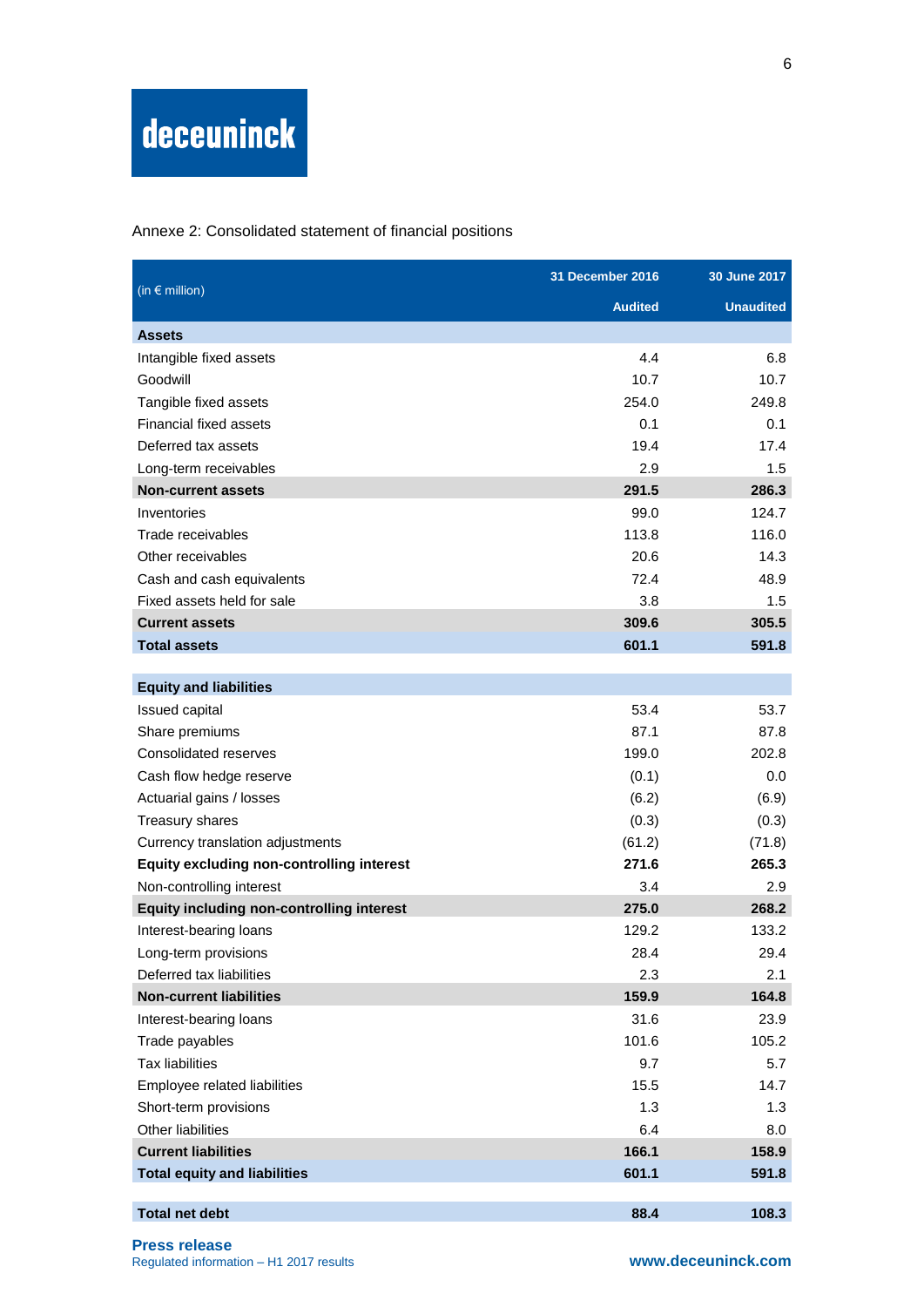Annexe 2: Consolidated statement of financial positions

|                                                  | <b>31 December 2016</b> | 30 June 2017     |
|--------------------------------------------------|-------------------------|------------------|
| $(in \in$ million)                               | <b>Audited</b>          | <b>Unaudited</b> |
| <b>Assets</b>                                    |                         |                  |
| Intangible fixed assets                          | 4.4                     | 6.8              |
| Goodwill                                         | 10.7                    | 10.7             |
| Tangible fixed assets                            | 254.0                   | 249.8            |
| <b>Financial fixed assets</b>                    | 0.1                     | 0.1              |
| Deferred tax assets                              | 19.4                    | 17.4             |
| Long-term receivables                            | 2.9                     | $1.5\,$          |
| <b>Non-current assets</b>                        | 291.5                   | 286.3            |
| Inventories                                      | 99.0                    | 124.7            |
| Trade receivables                                | 113.8                   | 116.0            |
| Other receivables                                | 20.6                    | 14.3             |
| Cash and cash equivalents                        | 72.4                    | 48.9             |
| Fixed assets held for sale                       | 3.8                     | 1.5              |
| <b>Current assets</b>                            | 309.6                   | 305.5            |
| <b>Total assets</b>                              | 601.1                   | 591.8            |
| <b>Equity and liabilities</b>                    |                         |                  |
| Issued capital                                   | 53.4                    | 53.7             |
| Share premiums                                   | 87.1                    | 87.8             |
| Consolidated reserves                            | 199.0                   | 202.8            |
| Cash flow hedge reserve                          | (0.1)                   | 0.0              |
| Actuarial gains / losses                         | (6.2)                   | (6.9)            |
| Treasury shares                                  | (0.3)                   | (0.3)            |
| Currency translation adjustments                 | (61.2)                  | (71.8)           |
| <b>Equity excluding non-controlling interest</b> | 271.6                   | 265.3            |
| Non-controlling interest                         | 3.4                     | 2.9              |
| <b>Equity including non-controlling interest</b> | 275.0                   | 268.2            |
| Interest-bearing loans                           | 129.2                   | 133.2            |
| Long-term provisions                             | 28.4                    | 29.4             |
| Deferred tax liabilities                         | 2.3                     | 2.1              |
| <b>Non-current liabilities</b>                   | 159.9                   | 164.8            |
| Interest-bearing loans                           | 31.6                    | 23.9             |
| Trade payables                                   | 101.6                   | 105.2            |
| <b>Tax liabilities</b>                           | 9.7                     | 5.7              |
| Employee related liabilities                     | 15.5                    | 14.7             |
| Short-term provisions                            | 1.3                     | 1.3              |
| Other liabilities                                | 6.4                     | 8.0              |
| <b>Current liabilities</b>                       | 166.1                   | 158.9            |
| <b>Total equity and liabilities</b>              | 601.1                   | 591.8            |
| <b>Total net debt</b>                            | 88.4                    | 108.3            |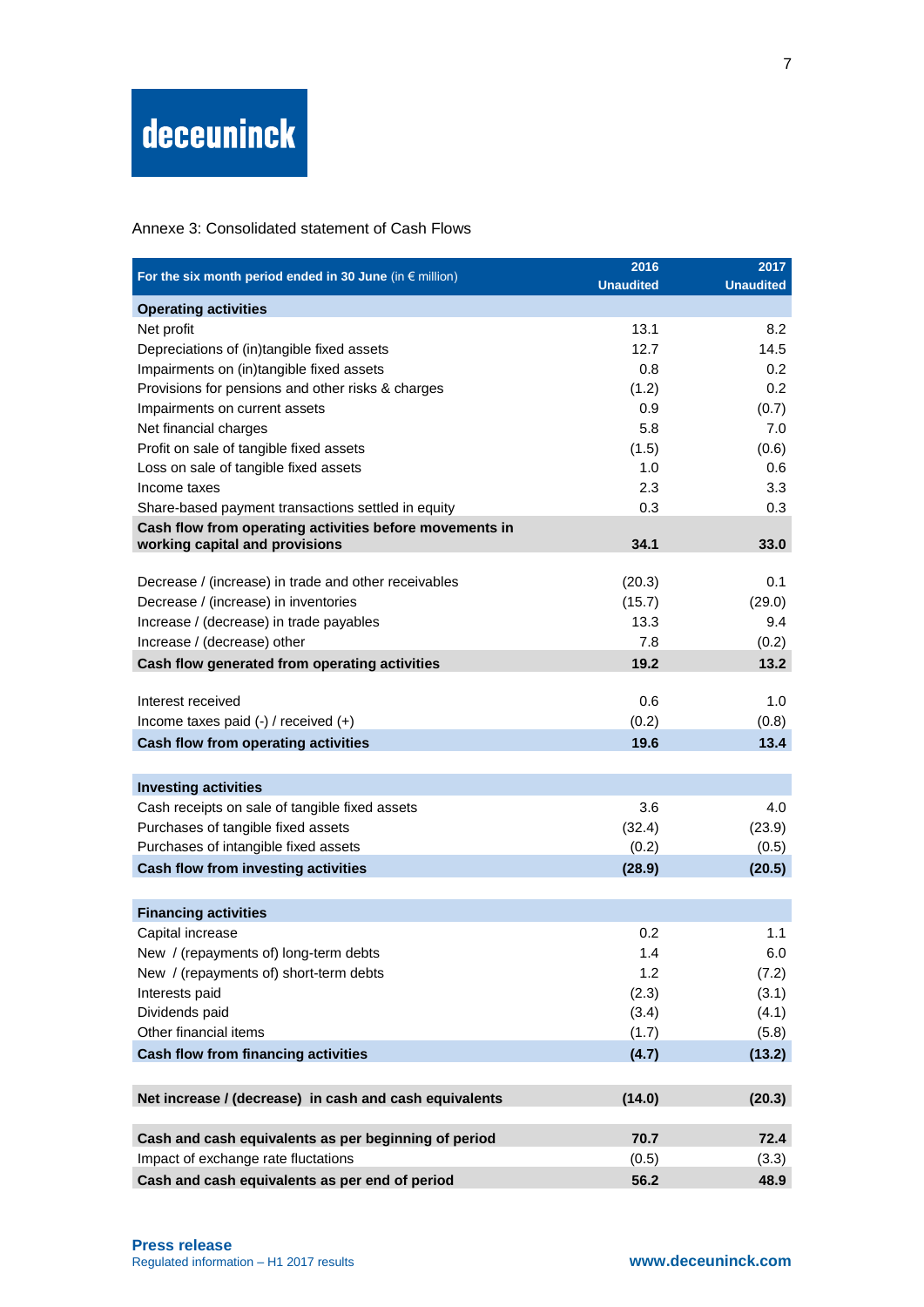Annexe 3: Consolidated statement of Cash Flows

|                                                                                           | 2016             | 2017             |
|-------------------------------------------------------------------------------------------|------------------|------------------|
| For the six month period ended in 30 June (in $\epsilon$ million)                         | <b>Unaudited</b> | <b>Unaudited</b> |
| <b>Operating activities</b>                                                               |                  |                  |
| Net profit                                                                                | 13.1             | 8.2              |
| Depreciations of (in)tangible fixed assets                                                | 12.7             | 14.5             |
| Impairments on (in)tangible fixed assets                                                  | 0.8              | 0.2              |
| Provisions for pensions and other risks & charges                                         | (1.2)            | 0.2              |
| Impairments on current assets                                                             | 0.9              | (0.7)            |
| Net financial charges                                                                     | 5.8              | 7.0              |
| Profit on sale of tangible fixed assets                                                   | (1.5)            | (0.6)            |
| Loss on sale of tangible fixed assets                                                     | 1.0              | 0.6              |
| Income taxes                                                                              | 2.3              | 3.3              |
| Share-based payment transactions settled in equity                                        | 0.3              | 0.3              |
| Cash flow from operating activities before movements in<br>working capital and provisions | 34.1             | 33.0             |
|                                                                                           |                  |                  |
| Decrease / (increase) in trade and other receivables                                      | (20.3)           | 0.1              |
| Decrease / (increase) in inventories                                                      | (15.7)           | (29.0)           |
| Increase / (decrease) in trade payables                                                   | 13.3             | 9.4              |
| Increase / (decrease) other                                                               | 7.8              | (0.2)            |
| Cash flow generated from operating activities                                             | 19.2             | 13.2             |
| Interest received                                                                         | 0.6              | 1.0              |
| Income taxes paid $(-)$ / received $(+)$                                                  | (0.2)            | (0.8)            |
| <b>Cash flow from operating activities</b>                                                | 19.6             | 13.4             |
|                                                                                           |                  |                  |
| <b>Investing activities</b>                                                               |                  |                  |
| Cash receipts on sale of tangible fixed assets                                            | 3.6              | 4.0              |
| Purchases of tangible fixed assets                                                        | (32.4)           | (23.9)           |
| Purchases of intangible fixed assets                                                      | (0.2)            | (0.5)            |
| Cash flow from investing activities                                                       | (28.9)           | (20.5)           |
|                                                                                           |                  |                  |
| <b>Financing activities</b><br>Capital increase                                           | 0.2              | 1.1              |
| New / (repayments of) long-term debts                                                     | 1.4              | 6.0              |
| New / (repayments of) short-term debts                                                    | 1.2              | (7.2)            |
| Interests paid                                                                            | (2.3)            | (3.1)            |
| Dividends paid                                                                            | (3.4)            | (4.1)            |
| Other financial items                                                                     | (1.7)            | (5.8)            |
| <b>Cash flow from financing activities</b>                                                | (4.7)            | (13.2)           |
|                                                                                           |                  |                  |
| Net increase / (decrease) in cash and cash equivalents                                    | (14.0)           | (20.3)           |
| Cash and cash equivalents as per beginning of period                                      | 70.7             | 72.4             |
| Impact of exchange rate fluctations                                                       | (0.5)            | (3.3)            |
| Cash and cash equivalents as per end of period                                            | 56.2             | 48.9             |